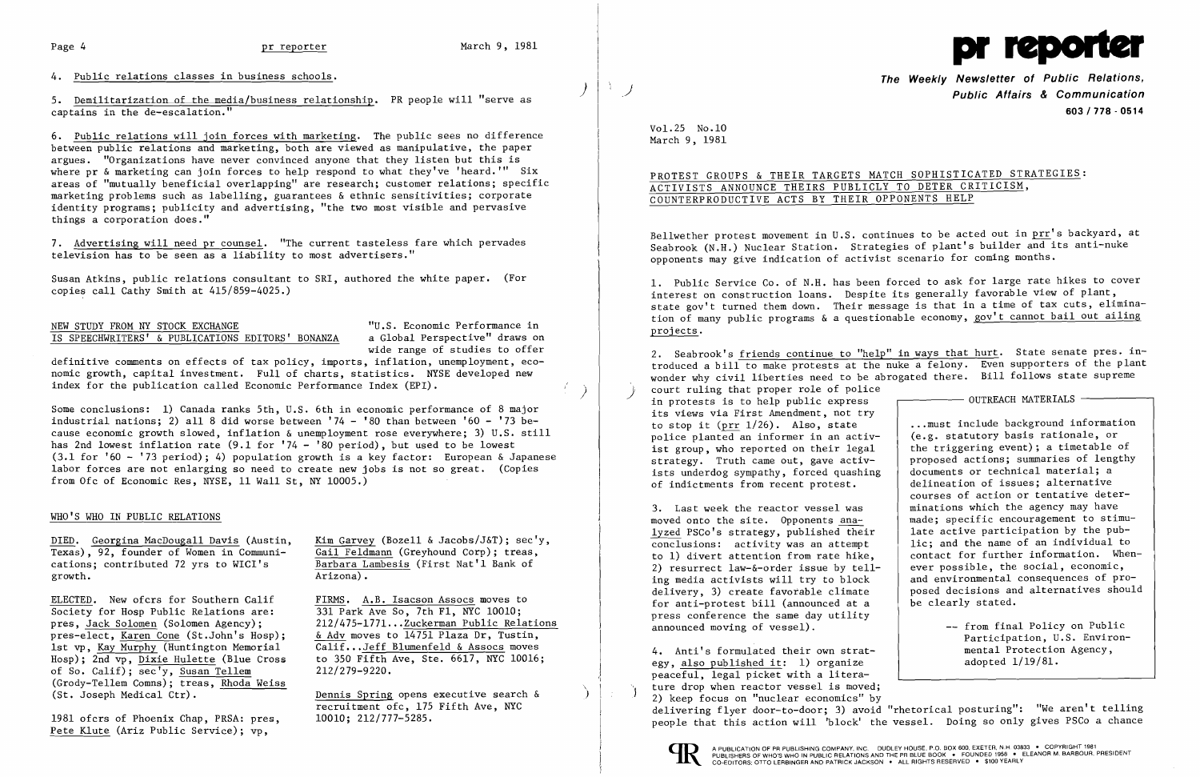

4. Public relations classes in business schools.

5. Demilitarization of the media/business relationship. PR people will "serve as captains in the de-escalation."

6. Public relations will join forces with marketing. The public sees no difference between public relations and marketing, both are viewed as manipulative, the paper argues. "Organizations have never convinced anyone that they listen but this is where pr & marketing can join forces to help respond to what they've 'heard.'" Six areas of "mutually beneficial overlapping" are research; customer relations; specific marketing problems such as labelling, guarantees & ethnic sensitivities; corporate identity programs; publicity and advertising, "the two most visible and pervasive things a corporation does."

> "U.S. Economic Performance in a Global Perspective" draws on wide range of studies to offer

definitive comments on effects of tax policy, imports, inflation, unemployment, economic growth, capital investment. Full of charts, statistics. NYSE developed new index for the publication called Economic Performance Index (EPI).

7. Advertising will need pr counsel. "The current tasteless fare which pervades television has to be seen as a liability to most advertisers."

Susan Atkins, public relations consultant to SRI, authored the white paper. (For copies call Cathy Smith at 415/859-4025.)

|  |  |  |                                                   | NEW STUDY FROM NY STOCK EXCHANGE |  |
|--|--|--|---------------------------------------------------|----------------------------------|--|
|  |  |  | IS SPEECHWRITERS' & PUBLICATIONS EDITORS' BONANZA |                                  |  |

PROTEST GROUPS & THEIR TARGETS MATCH SOPHISTICATED STRATEGIES: ACTIVISTS ANNOUNCE THEIRS PUBLICLY TO DETER CRITICISM, COUNTERPRODUCTIVE ACTS BY THEIR OPPONENTS HELP

Some conclusions: 1) Canada ranks 5th, U.S. 6th in economic performance of 8 major industrial nations; 2) all 8 did worse between  $'74 - '80$  than between  $'60 - '73$  because economic growth slowed, inflation & unemployment rose everywhere; 3) U.S. still has 2nd lowest inflation rate (9.1 for '74 - '80 period), but used to be lowest (3.1 for '60 - '73 period); 4) population growth is a key factor: European & Japanese labor forces are not enlarging so need to create new jobs is not so great. (Copies from Ofc of Economic Res, NYSE, 11 Wall St, NY 10005.)

Bellwether protest movement in U.S. continues to be acted out in prr's backyard, at Seabrook (N.H.) Nuclear Station. Strategies of plant's builder and its anti-nuke opponents may give indication of activist scenario for coming months.

# WHO'S WHO IN PUBLIC RELATIONS

DIED. Georgina MacDougall Davis (Austin, Texas), 92, founder of Women in Communications; contributed 72 yrs to WICI's growth.

ELECTED. New ofcrs for Southern Calif Society for Hosp Public Relations are: pres, Jack Solomen (Solomen Agency); pres-elect, Karen Cone (St.John's Hosp); 1st vp, Kay Murphy (Huntington Memorial Hosp); 2nd vp, Dixie Hulette (Blue Cross of So. Calif); sec'y, Susan Tellem (Grody-Tellem Comns); treas, Rhoda Weiss (St. Joseph Medical Ctr).

1981 ofcrs of Phoenix Chap, PRSA: pres, Pete Klute (Ariz Public Service); vp,

Kim Garvey (Bozell & Jacobs/J&T); sec'y, Gail Feldmann (Greyhound Corp); treas, Barbara Lambesis (First Nat'l Bank of Arizona).

FIRMS. A.B. Isacson Assocs moves to 331 Park Ave So, 7th Fl, NYC 10010; 2l2/475-l77l .•. Zuckerman Public Relations & Adv moves to 14751 Plaza Dr, Tustin,  $\overline{\text{Calif}}$ ... Jeff Blumenfeld & Assocs moves to 350 Fifth Ave, Ste. 6617, NYC 10016; 212/279-9220.

2. Seabrook's friends continue to "help" in ways that hurt. State senate pres. introduced a bill to make protests at the nuke a felony. Even supporters of the plant wonder why civil liberties need to be abrogated there. Bill follows state supreme court ruling that proper role of police<br>in protests is to help public express its views via First Amendment, not try to stop it (prr 1/26). Also, state police planted an informer in an activist group, who reported on their legal strategy. Truth came out, gave activists underdog sympathy, forced quashing of indictments from recent protest. 3. Last week the reactor vessel was moved onto the site. Opponents analyzed PSCo's strategy, published their conclusions: activity was an attempt to 1) divert attention from rate hike, 2) resurrect law-&-order issue by telling media activists will try to block delivery, 3) create favorable climate  $-$  OUTREACH MATERIALS  $-$ ...must include background information (e.g. statutory basis rationale, or the triggering event); a timetable of proposed actions; summaries of lengthy documents or technical material; a delineation of issues; alternative courses of action or tentative determinations which the agency may have made; specific encouragement to stimulate active participation by the public; and the name of an individual to contact for further information. Whenever possible, the social, economic, and environmental consequences of proposed decisions and alternatives should be clearly stated.

> -- from final Policy on Public Participation, U.S. Environmental Protection Agency,

Dennis Spring opens executive search & ) recruitment ofc, 175 Fifth Ave, NYC 10010; 212/777-5285.

 $\mathcal{A}^{\mathcal{A}}$  .

**The Weekly Newsletter of Public Relations,**  *j* **Public Affairs & Communication 603/778 - 0514** 

Vol. 25 No .10 March 9, 1981

1. Public Service Co. of N.H. has been forced to ask for large rate hikes to cover interest on construction loans. Despite its generally favorable view of plant, state gov't turned them down. Their message is that in a time of tax cuts, elimination of many public programs & a questionable economy, gov't cannot bail out ailing projects.

for anti-protest bill (announced at a press conference the same day utility announced moving of vessel).

4. Anti's formulated their own strategy, also published it: 1) organize peaceful, legal picket with a literature drop when reactor vessel is moved;<br>2) keep focus on "nuclear economics" by adopted 1/19/81. delivering flyer door-to-door; 3) avoid "rhetorical posturing": "We aren't telling people that this action will 'block' the vessel. Doing so only gives PSCo a chance



I